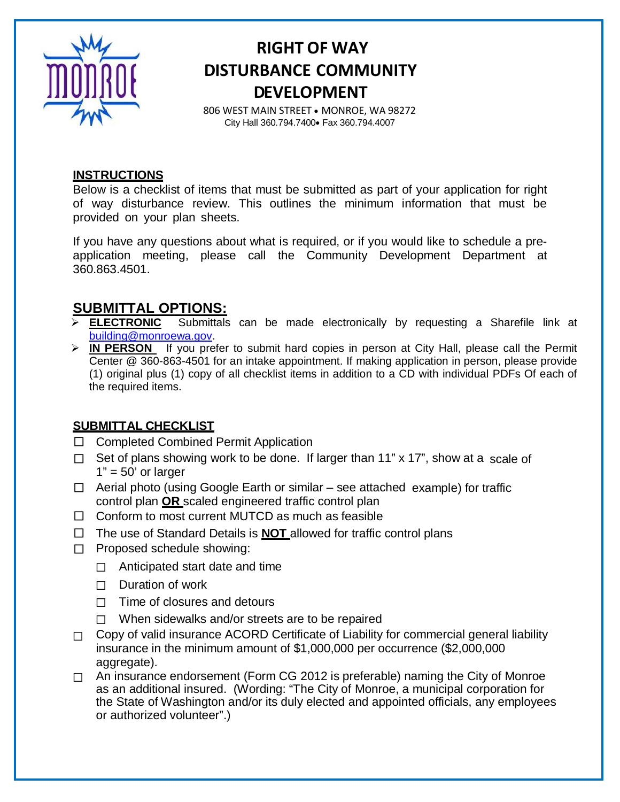

## **RIGHT OF WAY DISTURBANCE COMMUNITY DEVELOPMENT**

806 WEST MAIN STREET • MONROE, WA 98272 City Hall 360.794.7400• Fax 360.794.4007

#### **INSTRUCTIONS**

Below is a checklist of items that must be submitted as part of your application for right of way disturbance review. This outlines the minimum information that must be provided on your plan sheets.

If you have any questions about what is required, or if you would like to schedule a preapplication meeting, please call the Community Development Department at 360.863.4501.

# **SUBMITTAL OPTIONS:**<br>> **ELECTRONIC** Submittals

- Submittals can be made electronically by requesting a Sharefile link at [building@monroewa.gov.](mailto:building@monroewa.gov)
- **IN PERSON** If you prefer to submit hard copies in person at City Hall, please call the Permit Center @ 360-863-4501 for an intake appointment. If making application in person, please provide (1) original plus (1) copy of all checklist items in addition to a CD with individual PDFs Of each of the required items.

### **SUBMITTAL CHECKLIST**

- □ Completed Combined Permit Application
- $\Box$  Set of plans showing work to be done. If larger than 11" x 17", show at a scale of  $1" = 50'$  or larger
- $\Box$  Aerial photo (using Google Earth or similar see attached example) for traffic control plan **OR** scaled engineered traffic control plan
- $\Box$  Conform to most current MUTCD as much as feasible
- □ The use of Standard Details is **NOT** allowed for traffic control plans
- □ Proposed schedule showing:
	- $\Box$  Anticipated start date and time
	- $\Box$  Duration of work
	- $\Box$  Time of closures and detours
	- $\Box$  When sidewalks and/or streets are to be repaired
- $\Box$  Copy of valid insurance ACORD Certificate of Liability for commercial general liability insurance in the minimum amount of \$1,000,000 per occurrence (\$2,000,000 aggregate).
- □ An insurance endorsement (Form CG 2012 is preferable) naming the City of Monroe as an additional insured. (Wording: "The City of Monroe, a municipal corporation for the State of Washington and/or its duly elected and appointed officials, any employees or authorized volunteer".)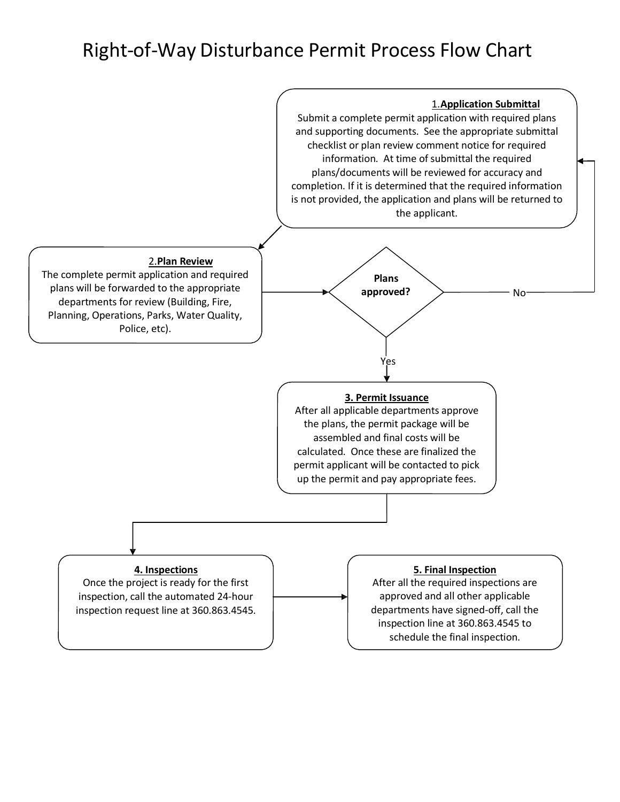## Right-of-Way Disturbance Permit Process Flow Chart

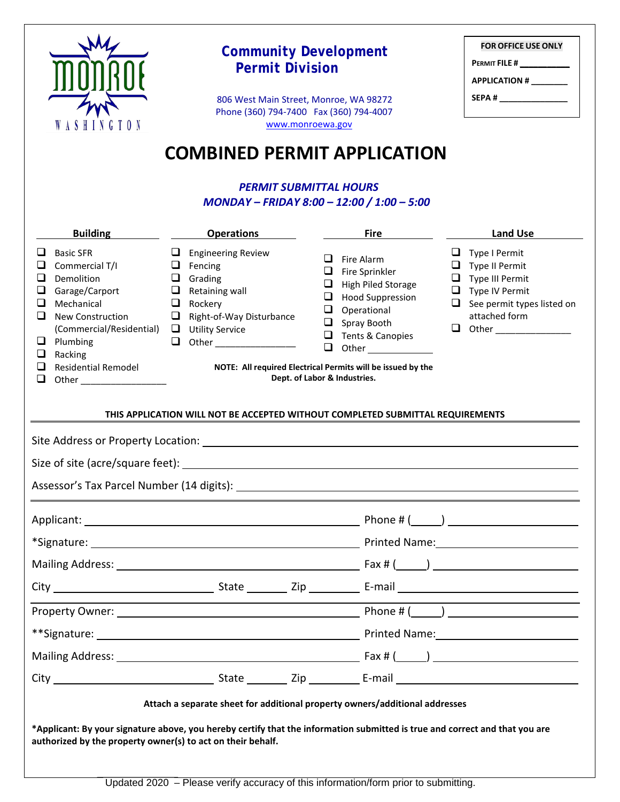|                                                                                                                                                                                                                                                             | <b>FOR OFFICE USE ONLY</b><br><b>PERMIT FILE #</b><br><b>APPLICATION #</b><br>SEPA # __________________<br><b>COMBINED PERMIT APPLICATION</b>                                                        |                                                                                                                                                                                                                                                                                                           |                                                                                                                                                            |  |  |  |
|-------------------------------------------------------------------------------------------------------------------------------------------------------------------------------------------------------------------------------------------------------------|------------------------------------------------------------------------------------------------------------------------------------------------------------------------------------------------------|-----------------------------------------------------------------------------------------------------------------------------------------------------------------------------------------------------------------------------------------------------------------------------------------------------------|------------------------------------------------------------------------------------------------------------------------------------------------------------|--|--|--|
| <b>Building</b>                                                                                                                                                                                                                                             | <b>Operations</b>                                                                                                                                                                                    | <b>Fire</b>                                                                                                                                                                                                                                                                                               | Land Use                                                                                                                                                   |  |  |  |
| <b>Basic SFR</b><br>Commercial T/I<br>❏<br>Demolition<br>❏<br>Garage/Carport<br>Mechanical<br>□<br>New Construction<br>ப<br>(Commercial/Residential)<br>$\Box$ Plumbing<br>Racking<br>Q.<br><b>Residential Remodel</b><br>ப<br>u<br>Other _________________ | $\Box$ Engineering Review<br>$\Box$ Fencing<br>$\Box$ Grading<br>$\Box$ Retaining wall<br>$\Box$ Rockery<br>$\Box$ Right-of-Way Disturbance<br>$\Box$ Utility Service<br>$\Box$ Other ______________ | $\Box$ Fire Alarm<br>$\Box$ Fire Sprinkler<br>$\Box$<br><b>High Piled Storage</b><br>❏<br><b>Hood Suppression</b><br>Operational<br>□<br>Spray Booth<br>❏<br>Tents & Canopies<br>$\Box$<br>$\Box$<br>Other<br>NOTE: All required Electrical Permits will be issued by the<br>Dept. of Labor & Industries. | u.<br>Type I Permit<br>$\Box$ Type II Permit<br>$\Box$ Type III Permit<br>$\Box$ Type IV Permit<br>$\Box$ See permit types listed on<br>attached form<br>❏ |  |  |  |
|                                                                                                                                                                                                                                                             | THIS APPLICATION WILL NOT BE ACCEPTED WITHOUT COMPLETED SUBMITTAL REQUIREMENTS                                                                                                                       |                                                                                                                                                                                                                                                                                                           |                                                                                                                                                            |  |  |  |
|                                                                                                                                                                                                                                                             |                                                                                                                                                                                                      |                                                                                                                                                                                                                                                                                                           |                                                                                                                                                            |  |  |  |
| Size of site (acre/square feet):                                                                                                                                                                                                                            |                                                                                                                                                                                                      |                                                                                                                                                                                                                                                                                                           |                                                                                                                                                            |  |  |  |
|                                                                                                                                                                                                                                                             |                                                                                                                                                                                                      |                                                                                                                                                                                                                                                                                                           |                                                                                                                                                            |  |  |  |
|                                                                                                                                                                                                                                                             |                                                                                                                                                                                                      |                                                                                                                                                                                                                                                                                                           |                                                                                                                                                            |  |  |  |
|                                                                                                                                                                                                                                                             |                                                                                                                                                                                                      |                                                                                                                                                                                                                                                                                                           |                                                                                                                                                            |  |  |  |
|                                                                                                                                                                                                                                                             |                                                                                                                                                                                                      |                                                                                                                                                                                                                                                                                                           |                                                                                                                                                            |  |  |  |
|                                                                                                                                                                                                                                                             |                                                                                                                                                                                                      |                                                                                                                                                                                                                                                                                                           |                                                                                                                                                            |  |  |  |
|                                                                                                                                                                                                                                                             |                                                                                                                                                                                                      |                                                                                                                                                                                                                                                                                                           |                                                                                                                                                            |  |  |  |
|                                                                                                                                                                                                                                                             |                                                                                                                                                                                                      |                                                                                                                                                                                                                                                                                                           |                                                                                                                                                            |  |  |  |
|                                                                                                                                                                                                                                                             |                                                                                                                                                                                                      |                                                                                                                                                                                                                                                                                                           |                                                                                                                                                            |  |  |  |
|                                                                                                                                                                                                                                                             |                                                                                                                                                                                                      |                                                                                                                                                                                                                                                                                                           |                                                                                                                                                            |  |  |  |
| Attach a separate sheet for additional property owners/additional addresses                                                                                                                                                                                 |                                                                                                                                                                                                      |                                                                                                                                                                                                                                                                                                           |                                                                                                                                                            |  |  |  |
| *Applicant: By your signature above, you hereby certify that the information submitted is true and correct and that you are<br>authorized by the property owner(s) to act on their behalf.                                                                  |                                                                                                                                                                                                      |                                                                                                                                                                                                                                                                                                           |                                                                                                                                                            |  |  |  |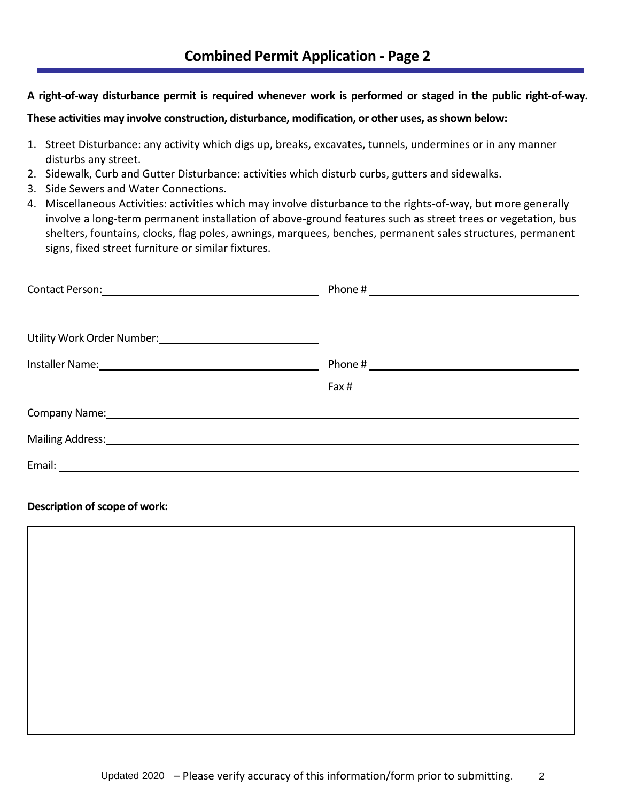**A right-of-way disturbance permit is required whenever work is performed or staged in the public right-of-way.** 

**These activities may involve construction, disturbance, modification, or other uses, as shown below:** 

- 1. Street Disturbance: any activity which digs up, breaks, excavates, tunnels, undermines or in any manner disturbs any street.
- 2. Sidewalk, Curb and Gutter Disturbance: activities which disturb curbs, gutters and sidewalks.
- 3. Side Sewers and Water Connections.
- 4. Miscellaneous Activities: activities which may involve disturbance to the rights-of-way, but more generally involve a long-term permanent installation of above-ground features such as street trees or vegetation, bus shelters, fountains, clocks, flag poles, awnings, marquees, benches, permanent sales structures, permanent signs, fixed street furniture or similar fixtures.

| Contact Person: 2008 and 2008 and 2008 and 2008 and 2008 and 2008 and 2008 and 2008 and 2008 and 2008 and 2008                                                                                                                 |                                  |
|--------------------------------------------------------------------------------------------------------------------------------------------------------------------------------------------------------------------------------|----------------------------------|
|                                                                                                                                                                                                                                |                                  |
| Utility Work Order Number: 1997                                                                                                                                                                                                |                                  |
| Installer Name: Name and Second Contract of the Contract of the Contract of the Contract of the Contract of the                                                                                                                | Phone # $\overline{\phantom{a}}$ |
|                                                                                                                                                                                                                                |                                  |
| Company Name: 2008 Company Name: 2008 Company Name: 2008 Company Name: 2008 Company Name: 2008 Company Name: 2008 Company Name: 2008 Company Name: 2008 Company Name: 2008 Company Name: 2008 Company Name: 2008 Company Name: |                                  |
|                                                                                                                                                                                                                                |                                  |
|                                                                                                                                                                                                                                |                                  |
|                                                                                                                                                                                                                                |                                  |

#### **Description of scope of work:**